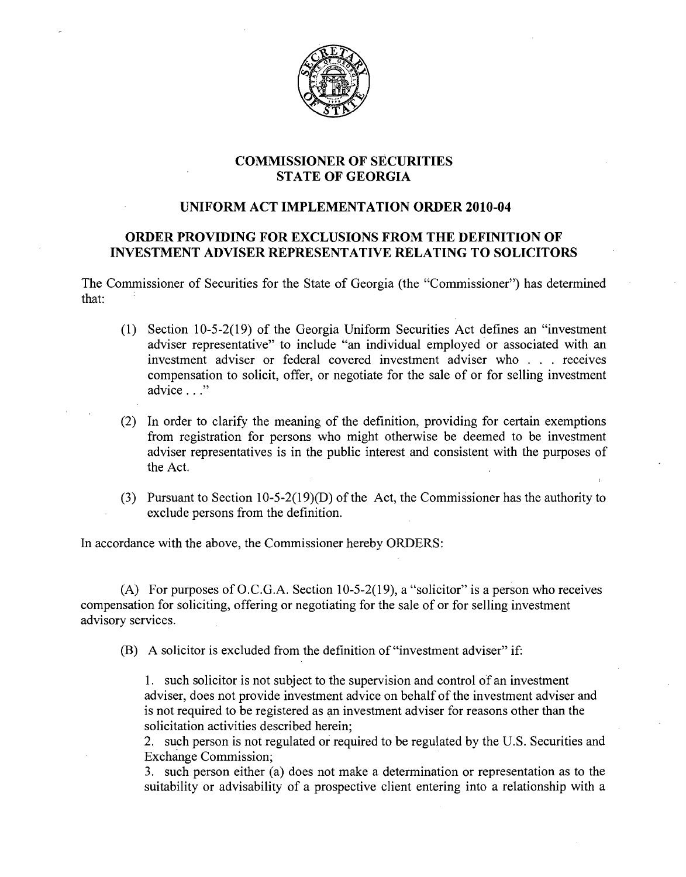

## **COMMISSIONER OF SECURITIES STATE OF GEORGIA**

## **UNIFORM ACT IMPLEMENTATION ORDER 2010-04**

## **ORDER PROVIDING FOR EXCLUSIONS FROM THE DEFINITION OF INVESTMENT ADVISER REPRESENTATIVE RELATING TO SOLICITORS**

The Commissioner of Securities for the State of Georgia (the "Commissioner") has determined that:

- (1) Section  $10-5-2(19)$  of the Georgia Uniform Securities Act defines an "investment" adviser representative" to include "an individual employed or associated with an investment adviser or federal covered investment adviser who . . . receives compensation to solicit, offer, or negotiate for the sale of or for selling investment advice . . ."
- (2) In order to clarify the meaning of the definition, providing for certain exemptions from registration for persons who might otherwise be deemed to be investment adviser representatives is in the public interest and consistent with the purposes of the Act.
- (3) Pursuant to Section 10-5-2(19)(D) of the Act, the Commissioner has the authority to exclude persons from the definition.

In accordance with the above, the Commissioner hereby ORDERS:

(A) For purposes of O.C.G.A. Section 10-5-2(19), a "solicitor" is a person who receives compensation for soliciting, offering or negotiating for the sale of or for selling investment advisory services.

(B) A solicitor is excluded from the definition of "investment adviser" if:

1. such solicitor is not subject to the supervision and control of an investment adviser, does not provide investment advice on behalf of the investment adviser and is not required to be registered as an investment adviser for reasons other than the solicitation activities described herein;

2. such person is not regulated or required to be regulated by the U.S. Securities and Exchange Commission;

3. such person either (a) does not make a determination or representation as to the suitability or advisability of a prospective client entering into a relationship with a